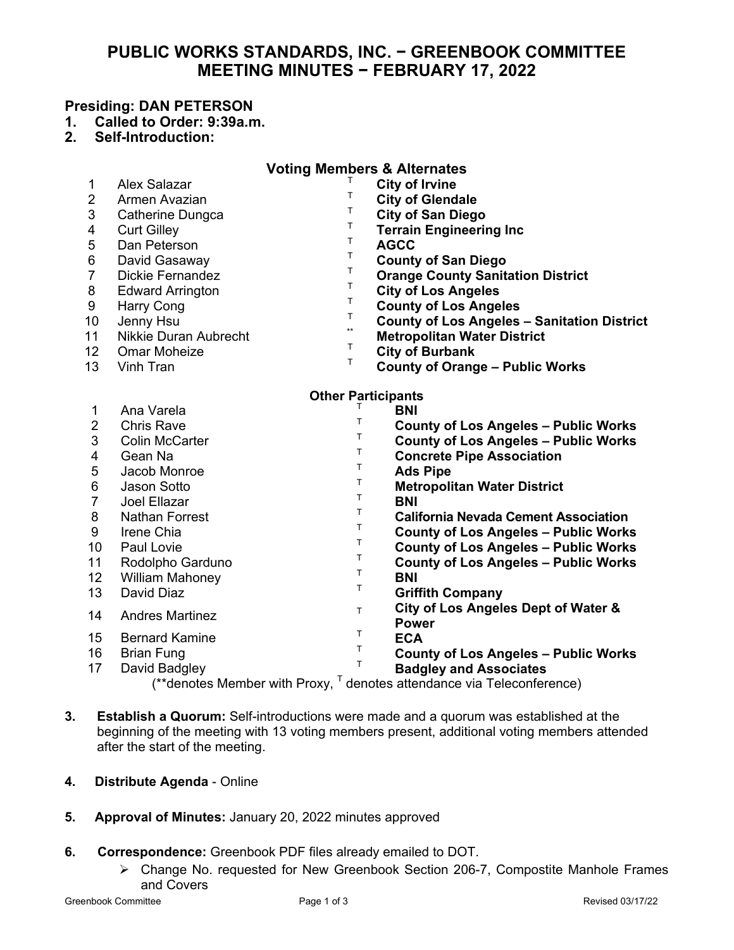# **PUBLIC WORKS STANDARDS, INC. − GREENBOOK COMMITTEE MEETING MINUTES − FEBRUARY 17, 2022**

## **Presiding: DAN PETERSON**

- **1. Called to Order: 9:39a.m.**
- **2. Self-Introduction:**

| <b>Voting Members &amp; Alternates</b>                                   |                              |              |                                                    |
|--------------------------------------------------------------------------|------------------------------|--------------|----------------------------------------------------|
| 1                                                                        | <b>Alex Salazar</b>          |              | <b>City of Irvine</b>                              |
| $\overline{2}$                                                           | Armen Avazian                | т            | <b>City of Glendale</b>                            |
| 3                                                                        | Catherine Dungca             | т            | <b>City of San Diego</b>                           |
| 4                                                                        | <b>Curt Gilley</b>           | т            | <b>Terrain Engineering Inc</b>                     |
| 5                                                                        | Dan Peterson                 | Т            | <b>AGCC</b>                                        |
| 6                                                                        | David Gasaway                | Т            | <b>County of San Diego</b>                         |
| 7                                                                        | <b>Dickie Fernandez</b>      | т            | <b>Orange County Sanitation District</b>           |
| 8                                                                        | <b>Edward Arrington</b>      | Τ            | <b>City of Los Angeles</b>                         |
| $\boldsymbol{9}$                                                         | <b>Harry Cong</b>            | т            | <b>County of Los Angeles</b>                       |
| 10                                                                       | Jenny Hsu                    | Т            | <b>County of Los Angeles - Sanitation District</b> |
| 11                                                                       | <b>Nikkie Duran Aubrecht</b> | $\star\star$ | <b>Metropolitan Water District</b>                 |
| 12                                                                       | <b>Omar Moheize</b>          | Τ            | <b>City of Burbank</b>                             |
| 13                                                                       | Vinh Tran                    | T            | <b>County of Orange - Public Works</b>             |
| <b>Other Participants</b>                                                |                              |              |                                                    |
| 1                                                                        | Ana Varela                   |              | <b>BNI</b>                                         |
| $\overline{2}$                                                           | <b>Chris Rave</b>            | T            | <b>County of Los Angeles - Public Works</b>        |
| 3                                                                        | <b>Colin McCarter</b>        | T            | <b>County of Los Angeles - Public Works</b>        |
| 4                                                                        | Gean Na                      | T            | <b>Concrete Pipe Association</b>                   |
| 5                                                                        | Jacob Monroe                 | Τ            | <b>Ads Pipe</b>                                    |
| 6                                                                        | <b>Jason Sotto</b>           | $\top$       | <b>Metropolitan Water District</b>                 |
| $\overline{7}$                                                           | Joel Ellazar                 | T.           | <b>BNI</b>                                         |
| 8                                                                        | <b>Nathan Forrest</b>        | T            | <b>California Nevada Cement Association</b>        |
| 9                                                                        | Irene Chia                   | $\mathsf T$  | <b>County of Los Angeles - Public Works</b>        |
| 10                                                                       | Paul Lovie                   | T            | <b>County of Los Angeles - Public Works</b>        |
| 11                                                                       | Rodolpho Garduno             | $\mathsf T$  | <b>County of Los Angeles - Public Works</b>        |
| 12                                                                       | <b>William Mahoney</b>       | T            | <b>BNI</b>                                         |
| 13                                                                       | David Diaz                   | Τ            | <b>Griffith Company</b>                            |
| 14                                                                       | <b>Andres Martinez</b>       | T.           | City of Los Angeles Dept of Water &                |
|                                                                          |                              |              | <b>Power</b>                                       |
| 15                                                                       | <b>Bernard Kamine</b>        | T.           | <b>ECA</b>                                         |
| 16                                                                       | <b>Brian Fung</b>            | T            | <b>County of Los Angeles - Public Works</b>        |
| 17                                                                       | David Badgley                | T.           | <b>Badgley and Associates</b>                      |
| (**denotes Member with Proxy, $T$ denotes attendance via Teleconference) |                              |              |                                                    |

- **3. Establish a Quorum:** Self-introductions were made and a quorum was established at the beginning of the meeting with 13 voting members present, additional voting members attended after the start of the meeting.
- **4. Distribute Agenda**  Online
- **5. Approval of Minutes:** January 20, 2022 minutes approved
- **6. Correspondence:** Greenbook PDF files already emailed to DOT.
	- Change No. requested for New Greenbook Section 206-7, Compostite Manhole Frames and Covers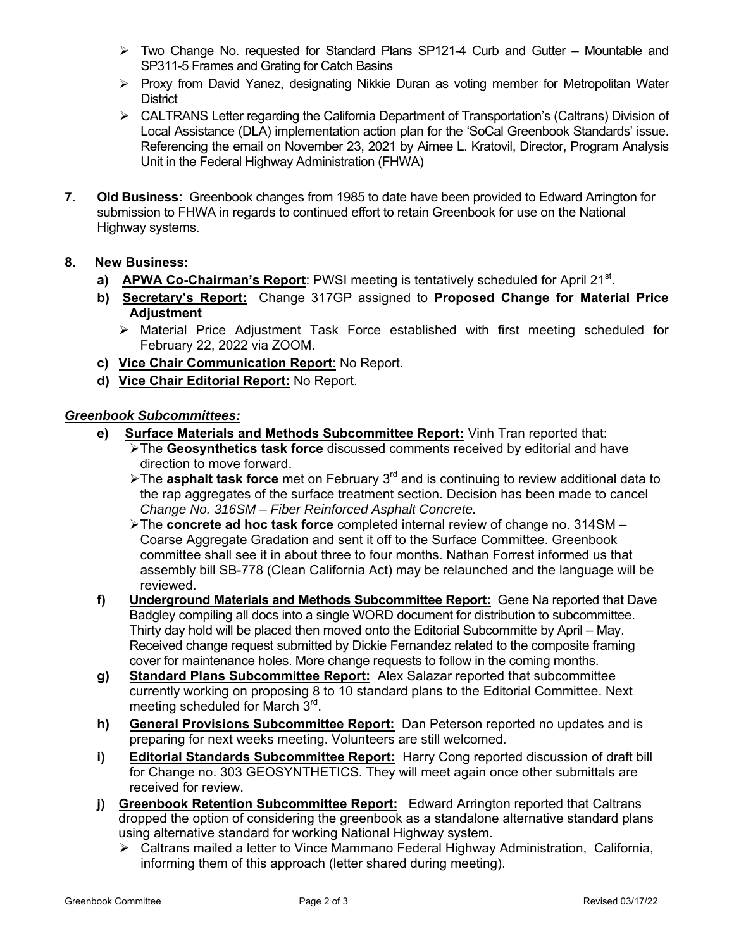- $\triangleright$  Two Change No. requested for Standard Plans SP121-4 Curb and Gutter Mountable and SP311-5 Frames and Grating for Catch Basins
- $\triangleright$  Proxy from David Yanez, designating Nikkie Duran as voting member for Metropolitan Water **District**
- CALTRANS Letter regarding the California Department of Transportation's (Caltrans) Division of Local Assistance (DLA) implementation action plan for the 'SoCal Greenbook Standards' issue. Referencing the email on November 23, 2021 by Aimee L. Kratovil, Director, Program Analysis Unit in the Federal Highway Administration (FHWA)
- **7. Old Business:** Greenbook changes from 1985 to date have been provided to Edward Arrington for submission to FHWA in regards to continued effort to retain Greenbook for use on the National Highway systems.

## **8. New Business:**

- **a) APWA Co-Chairman's Report**: PWSI meeting is tentatively scheduled for April 21<sup>st</sup>.
- **b) Secretary's Report:** Change 317GP assigned to **Proposed Change for Material Price Adjustment** 
	- Material Price Adjustment Task Force established with first meeting scheduled for February 22, 2022 via ZOOM.
- **c) Vice Chair Communication Report**: No Report.
- **d) Vice Chair Editorial Report:** No Report.

## *Greenbook Subcommittees:*

- **e) Surface Materials and Methods Subcommittee Report:** Vinh Tran reported that:
	- The **Geosynthetics task force** discussed comments received by editorial and have direction to move forward.
	- The **asphalt task force** met on February 3rd and is continuing to review additional data to the rap aggregates of the surface treatment section. Decision has been made to cancel *Change No. 316SM – Fiber Reinforced Asphalt Concrete.*
	- The **concrete ad hoc task force** completed internal review of change no. 314SM Coarse Aggregate Gradation and sent it off to the Surface Committee. Greenbook committee shall see it in about three to four months. Nathan Forrest informed us that assembly bill SB-778 (Clean California Act) may be relaunched and the language will be reviewed.
- **f) Underground Materials and Methods Subcommittee Report:** Gene Na reported that Dave Badgley compiling all docs into a single WORD document for distribution to subcommittee. Thirty day hold will be placed then moved onto the Editorial Subcommitte by April – May. Received change request submitted by Dickie Fernandez related to the composite framing cover for maintenance holes. More change requests to follow in the coming months.
- **g) Standard Plans Subcommittee Report:** Alex Salazar reported that subcommittee currently working on proposing 8 to 10 standard plans to the Editorial Committee. Next meeting scheduled for March 3<sup>rd</sup>.
- **h) General Provisions Subcommittee Report:** Dan Peterson reported no updates and is preparing for next weeks meeting. Volunteers are still welcomed.
- **i)** Editorial Standards Subcommittee Report: Harry Cong reported discussion of draft bill for Change no. 303 GEOSYNTHETICS. They will meet again once other submittals are received for review.
- **j)** Greenbook Retention Subcommittee Report: Edward Arrington reported that Caltrans dropped the option of considering the greenbook as a standalone alternative standard plans using alternative standard for working National Highway system.
	- Caltrans mailed a letter to Vince Mammano Federal Highway Administration, California, informing them of this approach (letter shared during meeting).